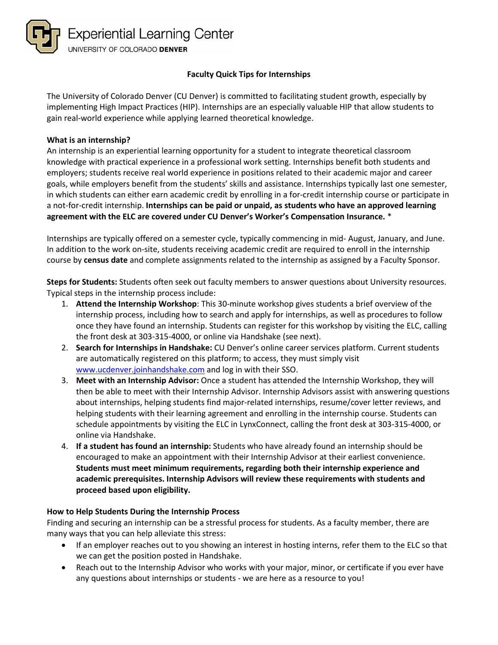

# **Faculty Quick Tips for Internships**

The University of Colorado Denver (CU Denver) is committed to facilitating student growth, especially by implementing High Impact Practices (HIP). Internships are an especially valuable HIP that allow students to gain real-world experience while applying learned theoretical knowledge.

### **What is an internship?**

An internship is an experiential learning opportunity for a student to integrate theoretical classroom knowledge with practical experience in a professional work setting. Internships benefit both students and employers; students receive real world experience in positions related to their academic major and career goals, while employers benefit from the students' skills and assistance. Internships typically last one semester, in which students can either earn academic credit by enrolling in a for-credit internship course or participate in a not-for-credit internship. **Internships can be paid or unpaid, as students who have an approved learning agreement with the ELC are covered under CU Denver's Worker's Compensation Insurance.** \*

Internships are typically offered on a semester cycle, typically commencing in mid- August, January, and June. In addition to the work on-site, students receiving academic credit are required to enroll in the internship course by **census date** and complete assignments related to the internship as assigned by a Faculty Sponsor.

**Steps for Students:** Students often seek out faculty members to answer questions about University resources. Typical steps in the internship process include:

- 1. **Attend the Internship Workshop**: This 30-minute workshop gives students a brief overview of the internship process, including how to search and apply for internships, as well as procedures to follow once they have found an internship. Students can register for this workshop by visiting the ELC, calling the front desk at 303-315-4000, or online via Handshake (see next).
- 2. **Search for Internships in Handshake:** CU Denver's online career services platform. Current students are automatically registered on this platform; to access, they must simply visit [www.ucdenver.joinhandshake.com](http://www.ucdenver.joinhandshake.com/) and log in with their SSO.
- 3. **Meet with an Internship Advisor:** Once a student has attended the Internship Workshop, they will then be able to meet with their Internship Advisor. Internship Advisors assist with answering questions about internships, helping students find major-related internships, resume/cover letter reviews, and helping students with their learning agreement and enrolling in the internship course. Students can schedule appointments by visiting the ELC in LynxConnect, calling the front desk at 303-315-4000, or online via Handshake.
- 4. **If a student has found an internship:** Students who have already found an internship should be encouraged to make an appointment with their Internship Advisor at their earliest convenience. **Students must meet minimum requirements, regarding both their internship experience and academic prerequisites. Internship Advisors will review these requirements with students and proceed based upon eligibility.**

#### **How to Help Students During the Internship Process**

Finding and securing an internship can be a stressful process for students. As a faculty member, there are many ways that you can help alleviate this stress:

- If an employer reaches out to you showing an interest in hosting interns, refer them to the ELC so that we can get the position posted in Handshake.
- Reach out to the Internship Advisor who works with your major, minor, or certificate if you ever have any questions about internships or students - we are here as a resource to you!